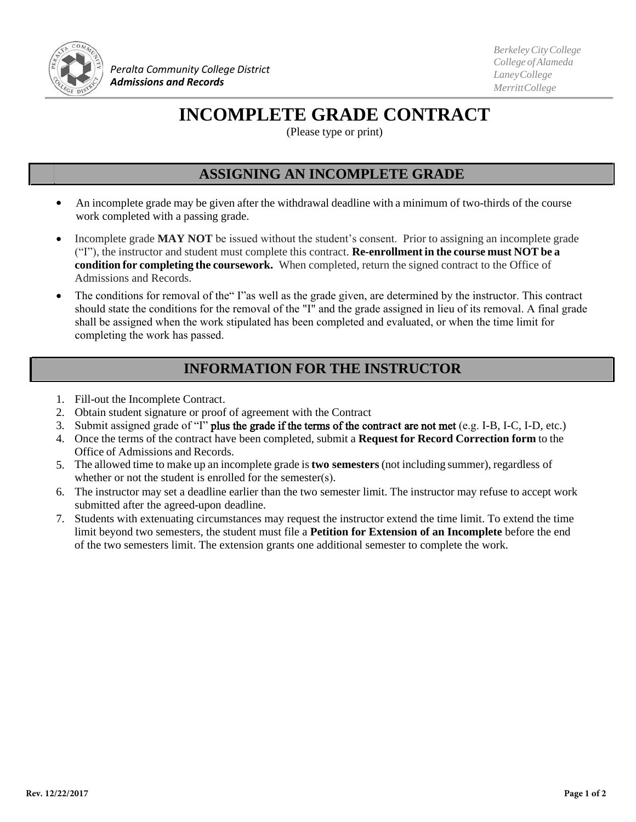

*Peralta Community College District Admissions and Records*

*BerkeleyCityCollege College ofAlameda LaneyCollege MerrittCollege*

## **INCOMPLETE GRADE CONTRACT**

(Please type or print)

## **ASSIGNING AN INCOMPLETE GRADE**

- An incomplete grade may be given after the withdrawal deadline with a minimum of two-thirds of the course work completed with a passing grade.
- Incomplete grade **MAY NOT** be issued without the student's consent. Prior to assigning an incomplete grade ("I"), the instructor and student must complete this contract. **Re-enrollment in the course must NOT be a condition for completing the coursework.** When completed, return the signed contract to the Office of Admissions and Records.
- The conditions for removal of the" I"as well as the grade given, are determined by the instructor. This contract should state the conditions for the removal of the "I" and the grade assigned in lieu of its removal. A final grade shall be assigned when the work stipulated has been completed and evaluated, or when the time limit for completing the work has passed.

## **INFORMATION FOR THE INSTRUCTOR**

- 1. Fill-out the Incomplete Contract.
- 2. Obtain student signature or proof of agreement with the Contract
- 3. Submit assigned grade of "I" plus the grade if the terms of the cont**ract** are not met (e.g. I-B, I-C, I-D, etc.)
- 4. Once the terms of the contract have been completed, submit a **Request for Record Correction form** to the Office of Admissions and Records.
- 5. The allowed time to make up an incomplete grade is**two semesters** (not including summer), regardless of whether or not the student is enrolled for the semester(s).
- 6. The instructor may set a deadline earlier than the two semester limit. The instructor may refuse to accept work submitted after the agreed-upon deadline.
- 7. Students with extenuating circumstances may request the instructor extend the time limit. To extend the time limit beyond two semesters, the student must file a **Petition for Extension of an Incomplete** before the end of the two semesters limit. The extension grants one additional semester to complete the work.